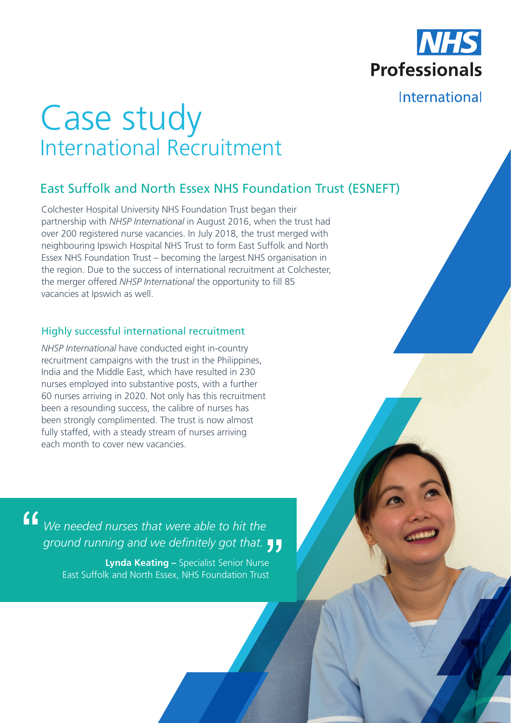

# International

# Case study International Recruitment

## East Suffolk and North Essex NHS Foundation Trust (ESNEFT)

Colchester Hospital University NHS Foundation Trust began their partnership with *NHSP International* in August 2016, when the trust had over 200 registered nurse vacancies. In July 2018, the trust merged with neighbouring Ipswich Hospital NHS Trust to form East Suffolk and North Essex NHS Foundation Trust – becoming the largest NHS organisation in the region. Due to the success of international recruitment at Colchester, the merger offered *NHSP International* the opportunity to fill 85 vacancies at Ipswich as well.

## Highly successful international recruitment

*NHSP International* have conducted eight in-country recruitment campaigns with the trust in the Philippines, India and the Middle East, which have resulted in 230 nurses employed into substantive posts, with a further 60 nurses arriving in 2020. Not only has this recruitment been a resounding success, the calibre of nurses has been strongly complimented. The trust is now almost fully staffed, with a steady stream of nurses arriving each month to cover new vacancies.

*We needed nurses that were able to hit the ground running and we definitely got that.*

> **Lynda Keating –** Specialist Senior Nurse East Suffolk and North Essex, NHS Foundation Trust